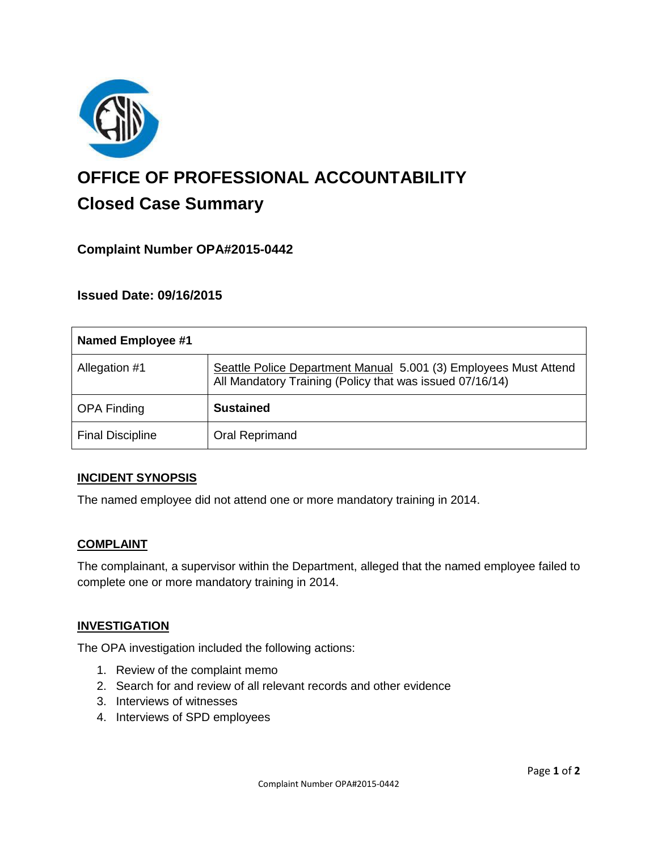

# **OFFICE OF PROFESSIONAL ACCOUNTABILITY Closed Case Summary**

# **Complaint Number OPA#2015-0442**

## **Issued Date: 09/16/2015**

| <b>Named Employee #1</b> |                                                                                                                              |
|--------------------------|------------------------------------------------------------------------------------------------------------------------------|
| Allegation #1            | Seattle Police Department Manual 5.001 (3) Employees Must Attend<br>All Mandatory Training (Policy that was issued 07/16/14) |
| <b>OPA Finding</b>       | <b>Sustained</b>                                                                                                             |
| <b>Final Discipline</b>  | Oral Reprimand                                                                                                               |

#### **INCIDENT SYNOPSIS**

The named employee did not attend one or more mandatory training in 2014.

#### **COMPLAINT**

The complainant, a supervisor within the Department, alleged that the named employee failed to complete one or more mandatory training in 2014.

#### **INVESTIGATION**

The OPA investigation included the following actions:

- 1. Review of the complaint memo
- 2. Search for and review of all relevant records and other evidence
- 3. Interviews of witnesses
- 4. Interviews of SPD employees